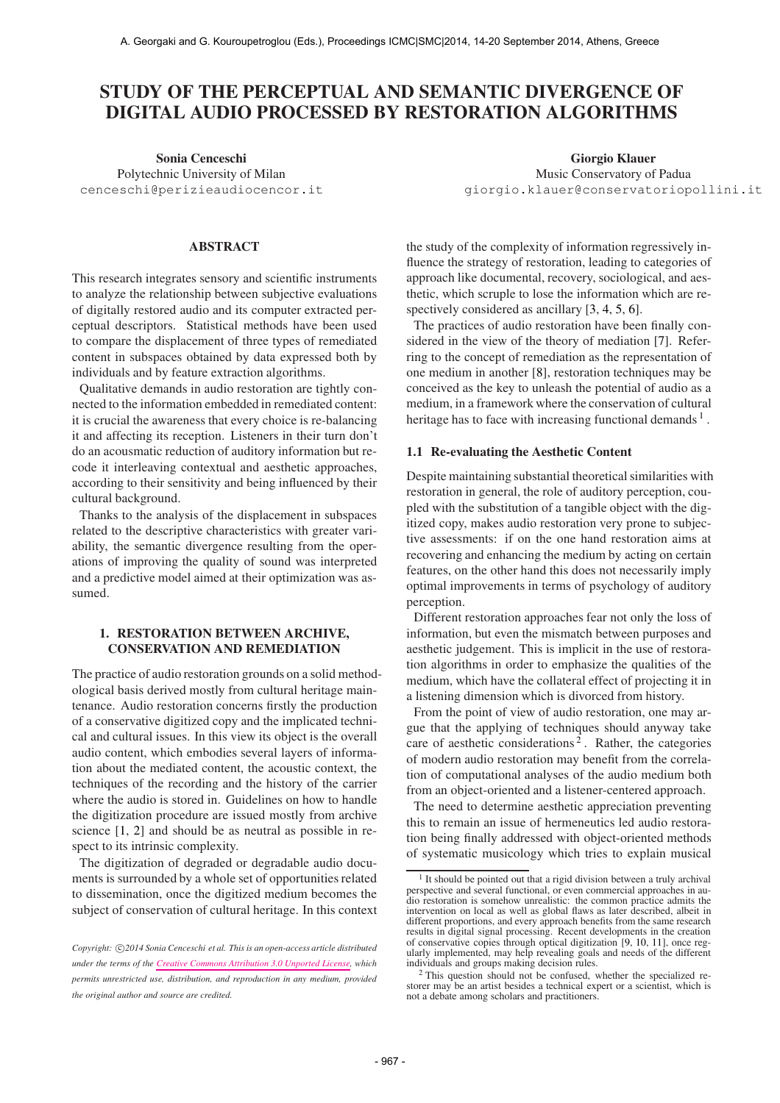# STUDY OF THE PERCEPTUAL AND SEMANTIC DIVERGENCE OF DIGITAL AUDIO PROCESSED BY RESTORATION ALGORITHMS

Sonia Cenceschi Polytechnic University of Milan [cenceschi@perizieaudiocencor.it](mailto:cenceschi@perizieaudiocencor.it)

### ABSTRACT

This research integrates sensory and scientific instruments to analyze the relationship between subjective evaluations of digitally restored audio and its computer extracted perceptual descriptors. Statistical methods have been used to compare the displacement of three types of remediated content in subspaces obtained by data expressed both by individuals and by feature extraction algorithms.

Qualitative demands in audio restoration are tightly connected to the information embedded in remediated content: it is crucial the awareness that every choice is re-balancing it and affecting its reception. Listeners in their turn don't do an acousmatic reduction of auditory information but recode it interleaving contextual and aesthetic approaches, according to their sensitivity and being influenced by their cultural background.

Thanks to the analysis of the displacement in subspaces related to the descriptive characteristics with greater variability, the semantic divergence resulting from the operations of improving the quality of sound was interpreted and a predictive model aimed at their optimization was assumed.

# 1. RESTORATION BETWEEN ARCHIVE, CONSERVATION AND REMEDIATION

The practice of audio restoration grounds on a solid methodological basis derived mostly from cultural heritage maintenance. Audio restoration concerns firstly the production of a conservative digitized copy and the implicated technical and cultural issues. In this view its object is the overall audio content, which embodies several layers of information about the mediated content, the acoustic context, the techniques of the recording and the history of the carrier where the audio is stored in. Guidelines on how to handle the digitization procedure are issued mostly from archive science [1, 2] and should be as neutral as possible in respect to its intrinsic complexity.

The digitization of degraded or degradable audio documents is surrounded by a whole set of opportunities related to dissemination, once the digitized medium becomes the subject of conservation of cultural heritage. In this context

Giorgio Klauer Music Conservatory of Padua [giorgio.klauer@conservatoriopollini.it](mailto:giorgio.klauer@conservatoriopollini.it)

the study of the complexity of information regressively influence the strategy of restoration, leading to categories of approach like documental, recovery, sociological, and aesthetic, which scruple to lose the information which are respectively considered as ancillary [3, 4, 5, 6].

The practices of audio restoration have been finally considered in the view of the theory of mediation [7]. Referring to the concept of remediation as the representation of one medium in another [8], restoration techniques may be conceived as the key to unleash the potential of audio as a medium, in a framework where the conservation of cultural heritage has to face with increasing functional demands  $<sup>1</sup>$ .</sup>

# 1.1 Re-evaluating the Aesthetic Content

Despite maintaining substantial theoretical similarities with restoration in general, the role of auditory perception, coupled with the substitution of a tangible object with the digitized copy, makes audio restoration very prone to subjective assessments: if on the one hand restoration aims at recovering and enhancing the medium by acting on certain features, on the other hand this does not necessarily imply optimal improvements in terms of psychology of auditory perception.

Different restoration approaches fear not only the loss of information, but even the mismatch between purposes and aesthetic judgement. This is implicit in the use of restoration algorithms in order to emphasize the qualities of the medium, which have the collateral effect of projecting it in a listening dimension which is divorced from history.

From the point of view of audio restoration, one may argue that the applying of techniques should anyway take care of aesthetic considerations<sup>2</sup>. Rather, the categories of modern audio restoration may benefit from the correlation of computational analyses of the audio medium both from an object-oriented and a listener-centered approach.

The need to determine aesthetic appreciation preventing this to remain an issue of hermeneutics led audio restoration being finally addressed with object-oriented methods of systematic musicology which tries to explain musical

Copyright:  $\bigcirc$ 2014 Sonia Cenceschi et al. This is an open-access article distributed *under the terms of the [Creative Commons Attribution 3.0 Unported License,](http://creativecommons.org/licenses/by/3.0/) which permits unrestricted use, distribution, and reproduction in any medium, provided the original author and source are credited.*

<sup>1</sup> It should be pointed out that a rigid division between a truly archival perspective and several functional, or even commercial approaches in audio restoration is somehow unrealistic: the common practice admits the intervention on local as well as global flaws as later described, albeit in different proportions, and every approach benefits from the same research results in digital signal processing. Recent developments in the creation of conservative copies through optical digitization [9, 10, 11], once regularly implemented, may help revealing goals and needs of the different individuals and groups making decision rules.

<sup>2</sup> This question should not be confused, whether the specialized restorer may be an artist besides a technical expert or a scientist, which is not a debate among scholars and practitioners.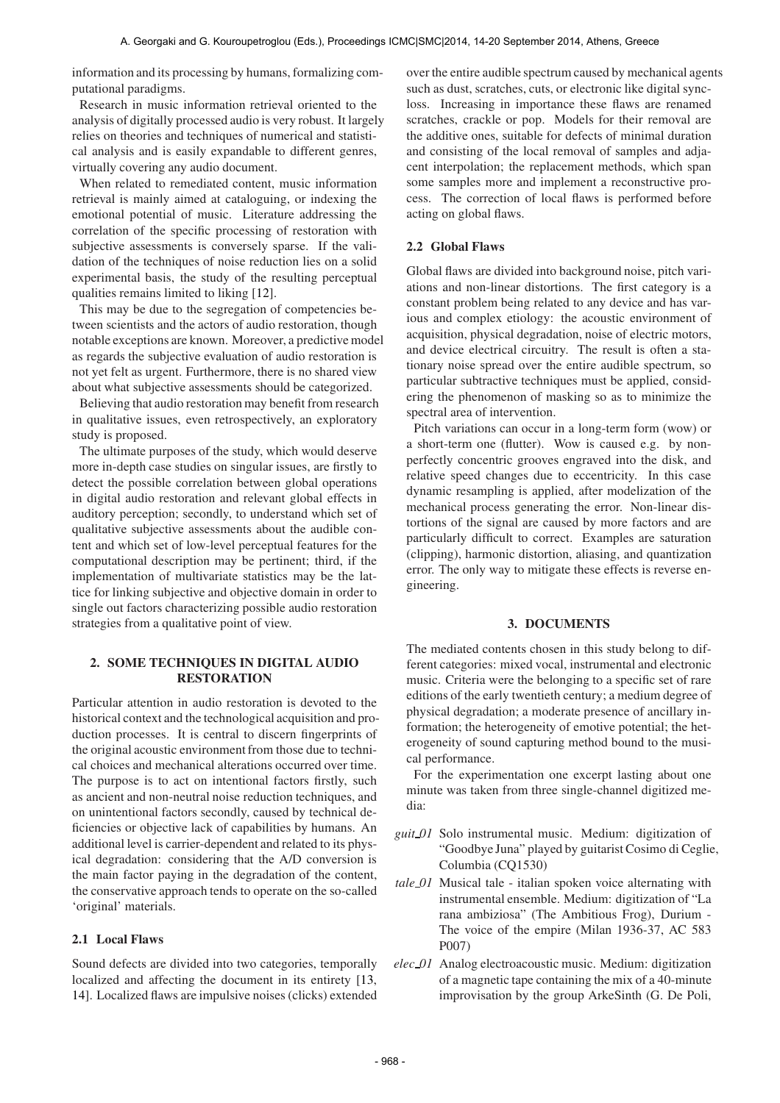information and its processing by humans, formalizing computational paradigms.

Research in music information retrieval oriented to the analysis of digitally processed audio is very robust. It largely relies on theories and techniques of numerical and statistical analysis and is easily expandable to different genres, virtually covering any audio document.

When related to remediated content, music information retrieval is mainly aimed at cataloguing, or indexing the emotional potential of music. Literature addressing the correlation of the specific processing of restoration with subjective assessments is conversely sparse. If the validation of the techniques of noise reduction lies on a solid experimental basis, the study of the resulting perceptual qualities remains limited to liking [12].

This may be due to the segregation of competencies between scientists and the actors of audio restoration, though notable exceptions are known. Moreover, a predictive model as regards the subjective evaluation of audio restoration is not yet felt as urgent. Furthermore, there is no shared view about what subjective assessments should be categorized.

Believing that audio restoration may benefit from research in qualitative issues, even retrospectively, an exploratory study is proposed.

The ultimate purposes of the study, which would deserve more in-depth case studies on singular issues, are firstly to detect the possible correlation between global operations in digital audio restoration and relevant global effects in auditory perception; secondly, to understand which set of qualitative subjective assessments about the audible content and which set of low-level perceptual features for the computational description may be pertinent; third, if the implementation of multivariate statistics may be the lattice for linking subjective and objective domain in order to single out factors characterizing possible audio restoration strategies from a qualitative point of view.

# 2. SOME TECHNIQUES IN DIGITAL AUDIO RESTORATION

Particular attention in audio restoration is devoted to the historical context and the technological acquisition and production processes. It is central to discern fingerprints of the original acoustic environment from those due to technical choices and mechanical alterations occurred over time. The purpose is to act on intentional factors firstly, such as ancient and non-neutral noise reduction techniques, and on unintentional factors secondly, caused by technical deficiencies or objective lack of capabilities by humans. An additional level is carrier-dependent and related to its physical degradation: considering that the A/D conversion is the main factor paying in the degradation of the content, the conservative approach tends to operate on the so-called 'original' materials.

### 2.1 Local Flaws

Sound defects are divided into two categories, temporally localized and affecting the document in its entirety [13, 14]. Localized flaws are impulsive noises (clicks) extended

over the entire audible spectrum caused by mechanical agents such as dust, scratches, cuts, or electronic like digital syncloss. Increasing in importance these flaws are renamed scratches, crackle or pop. Models for their removal are the additive ones, suitable for defects of minimal duration and consisting of the local removal of samples and adjacent interpolation; the replacement methods, which span some samples more and implement a reconstructive process. The correction of local flaws is performed before acting on global flaws.

### 2.2 Global Flaws

Global flaws are divided into background noise, pitch variations and non-linear distortions. The first category is a constant problem being related to any device and has various and complex etiology: the acoustic environment of acquisition, physical degradation, noise of electric motors, and device electrical circuitry. The result is often a stationary noise spread over the entire audible spectrum, so particular subtractive techniques must be applied, considering the phenomenon of masking so as to minimize the spectral area of intervention.

Pitch variations can occur in a long-term form (wow) or a short-term one (flutter). Wow is caused e.g. by nonperfectly concentric grooves engraved into the disk, and relative speed changes due to eccentricity. In this case dynamic resampling is applied, after modelization of the mechanical process generating the error. Non-linear distortions of the signal are caused by more factors and are particularly difficult to correct. Examples are saturation (clipping), harmonic distortion, aliasing, and quantization error. The only way to mitigate these effects is reverse engineering.

#### 3. DOCUMENTS

The mediated contents chosen in this study belong to different categories: mixed vocal, instrumental and electronic music. Criteria were the belonging to a specific set of rare editions of the early twentieth century; a medium degree of physical degradation; a moderate presence of ancillary information; the heterogeneity of emotive potential; the heterogeneity of sound capturing method bound to the musical performance.

For the experimentation one excerpt lasting about one minute was taken from three single-channel digitized media:

- *guit 01* Solo instrumental music. Medium: digitization of "Goodbye Juna" played by guitarist Cosimo di Ceglie, Columbia (CQ1530)
- *tale 01* Musical tale italian spoken voice alternating with instrumental ensemble. Medium: digitization of "La rana ambiziosa" (The Ambitious Frog), Durium - The voice of the empire (Milan 1936-37, AC 583 P007)
- *elec 01* Analog electroacoustic music. Medium: digitization of a magnetic tape containing the mix of a 40-minute improvisation by the group ArkeSinth (G. De Poli,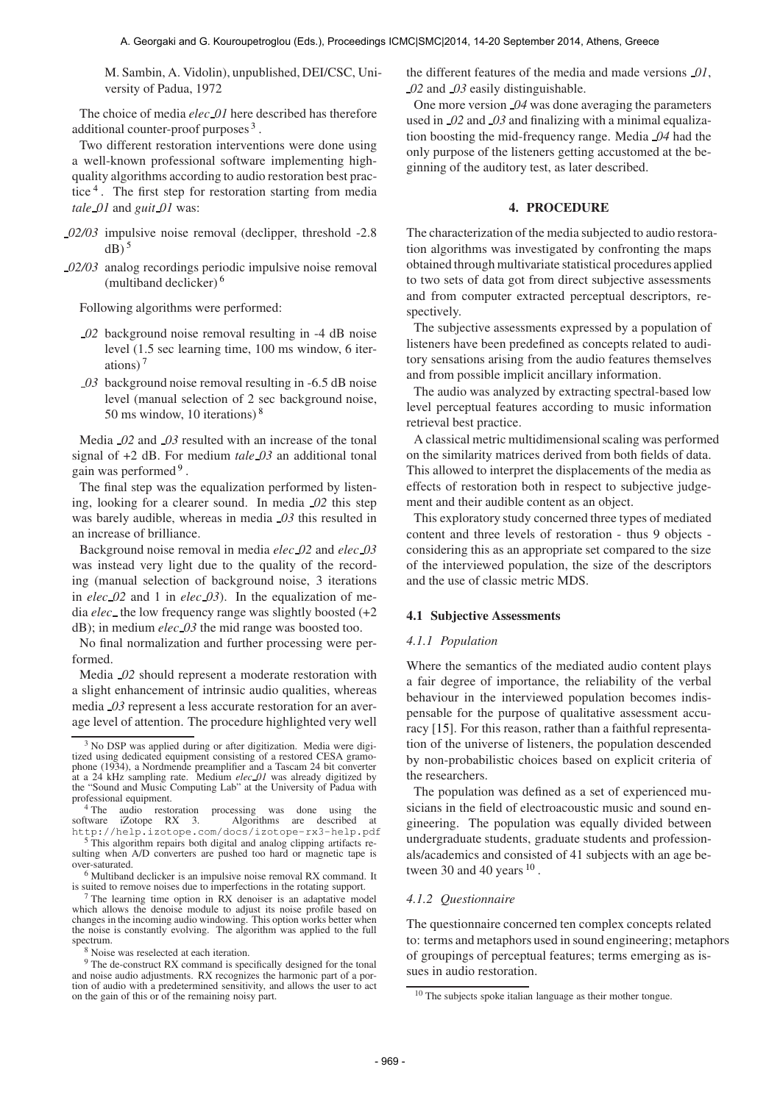M. Sambin, A. Vidolin), unpublished, DEI/CSC, University of Padua, 1972

The choice of media *elec 01* here described has therefore additional counter-proof purposes<sup>3</sup>.

Two different restoration interventions were done using a well-known professional software implementing highquality algorithms according to audio restoration best practice<sup>4</sup>. The first step for restoration starting from media *tale 01* and *guit 01* was:

- *02/03* impulsive noise removal (declipper, threshold -2.8  $dB)$ <sup>5</sup>
- *02/03* analog recordings periodic impulsive noise removal (multiband declicker) <sup>6</sup>

Following algorithms were performed:

- *02* background noise removal resulting in -4 dB noise level (1.5 sec learning time, 100 ms window, 6 iterations) <sup>7</sup>
- *03* background noise removal resulting in -6.5 dB noise level (manual selection of 2 sec background noise, 50 ms window, 10 iterations) <sup>8</sup>

Media *02* and *03* resulted with an increase of the tonal signal of +2 dB. For medium *tale 03* an additional tonal gain was performed<sup>9</sup>.

The final step was the equalization performed by listening, looking for a clearer sound. In media *02* this step was barely audible, whereas in media *03* this resulted in an increase of brilliance.

Background noise removal in media *elec 02* and *elec 03* was instead very light due to the quality of the recording (manual selection of background noise, 3 iterations in *elec 02* and 1 in *elec 03*). In the equalization of media *elec* the low frequency range was slightly boosted (+2 dB); in medium *elec 03* the mid range was boosted too.

No final normalization and further processing were performed.

Media *02* should represent a moderate restoration with a slight enhancement of intrinsic audio qualities, whereas media *03* represent a less accurate restoration for an average level of attention. The procedure highlighted very well the different features of the media and made versions *01*, *02* and *03* easily distinguishable.

One more version *04* was done averaging the parameters used in *02* and *03* and finalizing with a minimal equalization boosting the mid-frequency range. Media *04* had the only purpose of the listeners getting accustomed at the beginning of the auditory test, as later described.

# 4. PROCEDURE

The characterization of the media subjected to audio restoration algorithms was investigated by confronting the maps obtained through multivariate statistical procedures applied to two sets of data got from direct subjective assessments and from computer extracted perceptual descriptors, respectively.

The subjective assessments expressed by a population of listeners have been predefined as concepts related to auditory sensations arising from the audio features themselves and from possible implicit ancillary information.

The audio was analyzed by extracting spectral-based low level perceptual features according to music information retrieval best practice.

A classical metric multidimensional scaling was performed on the similarity matrices derived from both fields of data. This allowed to interpret the displacements of the media as effects of restoration both in respect to subjective judgement and their audible content as an object.

This exploratory study concerned three types of mediated content and three levels of restoration - thus 9 objects considering this as an appropriate set compared to the size of the interviewed population, the size of the descriptors and the use of classic metric MDS.

# 4.1 Subjective Assessments

#### *4.1.1 Population*

Where the semantics of the mediated audio content plays a fair degree of importance, the reliability of the verbal behaviour in the interviewed population becomes indispensable for the purpose of qualitative assessment accuracy [15]. For this reason, rather than a faithful representation of the universe of listeners, the population descended by non-probabilistic choices based on explicit criteria of the researchers.

The population was defined as a set of experienced musicians in the field of electroacoustic music and sound engineering. The population was equally divided between undergraduate students, graduate students and professionals/academics and consisted of 41 subjects with an age between 30 and 40 years  $10$ .

#### *4.1.2 Questionnaire*

The questionnaire concerned ten complex concepts related to: terms and metaphors used in sound engineering; metaphors of groupings of perceptual features; terms emerging as issues in audio restoration.

<sup>&</sup>lt;sup>3</sup> No DSP was applied during or after digitization. Media were digitized using dedicated equipment consisting of a restored CESA gramophone (1934), a Nordmende preamplifier and a Tascam 24 bit converter<br>at a 24 kHz sampling rate. Medium *elec* 01 was already digitized by<br>the "Sound and Music Computing Lab" at the University of Padua with professional equipment.

 $^{4}$  The audio restoration processing was done using the software iZotope RX 3. Algorithms are described at software iZotope RX 3. Algorithms are described at <http://help.izotope.com/docs/izotope-rx3-help.pdf>

This algorithm repairs both digital and analog clipping artifacts resulting when A/D converters are pushed too hard or magnetic tape is over-saturated.

<sup>6</sup> Multiband declicker is an impulsive noise removal RX command. It is suited to remove noises due to imperfections in the rotating support.

<sup>7</sup> The learning time option in RX denoiser is an adaptative model which allows the denoise module to adjust its noise profile based on changes in the incoming audio windowing. This option works better when the noise is constantly evolving. The algorithm was applied to the full spectrum.

<sup>8</sup> Noise was reselected at each iteration.

<sup>&</sup>lt;sup>9</sup> The de-construct RX command is specifically designed for the tonal and noise audio adjustments. RX recognizes the harmonic part of a portion of audio with a predetermined sensitivity, and allows the user to act on the gain of this or of the remaining noisy part.

 $10$  The subjects spoke italian language as their mother tongue.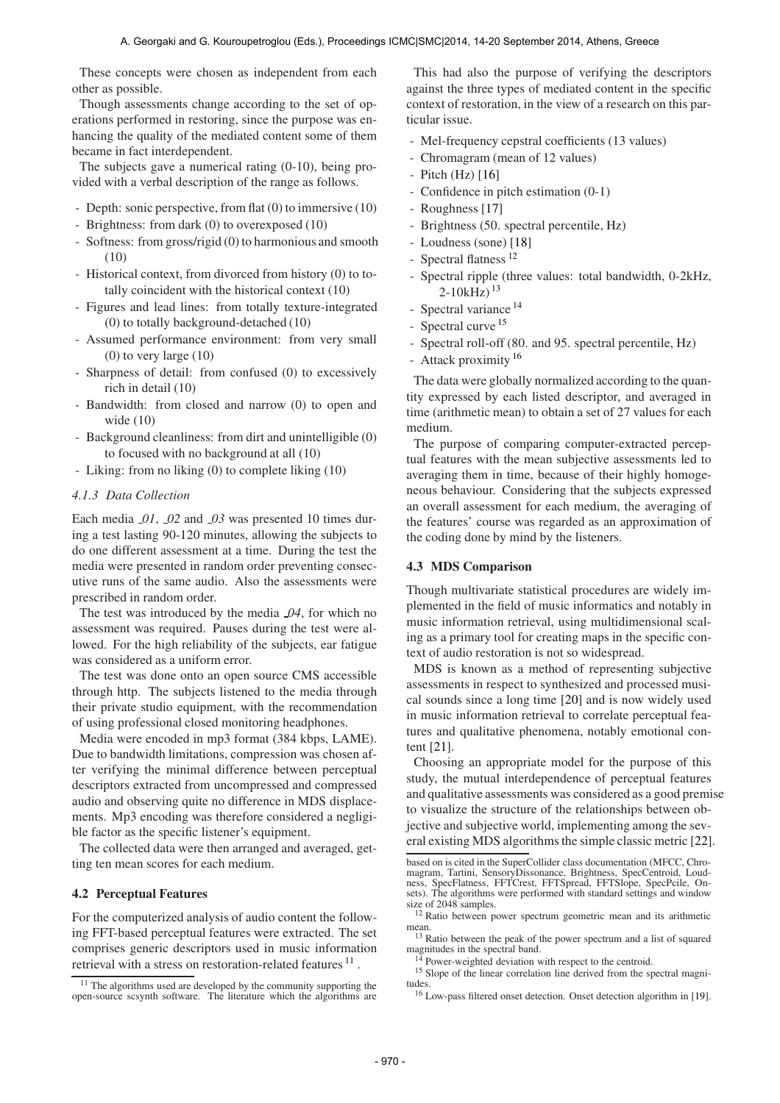These concepts were chosen as independent from each other as possible.

Though assessments change according to the set of operations performed in restoring, since the purpose was enhancing the quality of the mediated content some of them became in fact interdependent.

The subjects gave a numerical rating (0-10), being provided with a verbal description of the range as follows.

- Depth: sonic perspective, from flat (0) to immersive (10)
- Brightness: from dark (0) to overexposed (10)
- Softness: from gross/rigid (0) to harmonious and smooth (10)
- Historical context, from divorced from history (0) to totally coincident with the historical context (10)
- Figures and lead lines: from totally texture-integrated (0) to totally background-detached (10)
- Assumed performance environment: from very small  $(0)$  to very large  $(10)$
- Sharpness of detail: from confused (0) to excessively rich in detail (10)
- Bandwidth: from closed and narrow (0) to open and wide (10)
- Background cleanliness: from dirt and unintelligible (0) to focused with no background at all (10)
- Liking: from no liking (0) to complete liking (10)

### *4.1.3 Data Collection*

Each media *01*, *02* and *03* was presented 10 times during a test lasting 90-120 minutes, allowing the subjects to do one different assessment at a time. During the test the media were presented in random order preventing consecutive runs of the same audio. Also the assessments were prescribed in random order.

The test was introduced by the media *04*, for which no assessment was required. Pauses during the test were allowed. For the high reliability of the subjects, ear fatigue was considered as a uniform error.

The test was done onto an open source CMS accessible through http. The subjects listened to the media through their private studio equipment, with the recommendation of using professional closed monitoring headphones.

Media were encoded in mp3 format (384 kbps, LAME). Due to bandwidth limitations, compression was chosen after verifying the minimal difference between perceptual descriptors extracted from uncompressed and compressed audio and observing quite no difference in MDS displacements. Mp3 encoding was therefore considered a negligible factor as the specific listener's equipment.

The collected data were then arranged and averaged, getting ten mean scores for each medium.

### 4.2 Perceptual Features

For the computerized analysis of audio content the following FFT-based perceptual features were extracted. The set comprises generic descriptors used in music information retrieval with a stress on restoration-related features  $^{11}$ .

This had also the purpose of verifying the descriptors against the three types of mediated content in the specific context of restoration, in the view of a research on this particular issue.

- Mel-frequency cepstral coefficients (13 values)
- Chromagram (mean of 12 values)
- Pitch  $(Hz)$  [16]
- Confidence in pitch estimation  $(0-1)$
- Roughness [17]
- Brightness (50. spectral percentile, Hz)
- Loudness (sone) [18]
- Spectral flatness<sup>12</sup>
- Spectral ripple (three values: total bandwidth, 0-2kHz,  $2-10kHz$ )<sup>13</sup>
- Spectral variance <sup>14</sup>
- Spectral curve <sup>15</sup>
- Spectral roll-off (80. and 95. spectral percentile, Hz)
- Attack proximity <sup>16</sup>

The data were globally normalized according to the quantity expressed by each listed descriptor, and averaged in time (arithmetic mean) to obtain a set of 27 values for each medium.

The purpose of comparing computer-extracted perceptual features with the mean subjective assessments led to averaging them in time, because of their highly homogeneous behaviour. Considering that the subjects expressed an overall assessment for each medium, the averaging of the features' course was regarded as an approximation of the coding done by mind by the listeners.

# 4.3 MDS Comparison

Though multivariate statistical procedures are widely implemented in the field of music informatics and notably in music information retrieval, using multidimensional scaling as a primary tool for creating maps in the specific context of audio restoration is not so widespread.

MDS is known as a method of representing subjective assessments in respect to synthesized and processed musical sounds since a long time [20] and is now widely used in music information retrieval to correlate perceptual features and qualitative phenomena, notably emotional content [21].

Choosing an appropriate model for the purpose of this study, the mutual interdependence of perceptual features and qualitative assessments was considered as a good premise to visualize the structure of the relationships between objective and subjective world, implementing among the several existing MDS algorithms the simple classic metric [22].

 $11$  The algorithms used are developed by the community supporting the open-source scsynth software. The literature which the algorithms are

based on is cited in the SuperCollider class documentation (MFCC, Chromagram, Tartini, SensoryDissonance, Brightness, SpecCentroid, Loudness, SpecFlatness, FFTCrest, FFTSpread, FFTSlope, SpecPcile, On-sets). The algorithms were performed with standard settings and window size of 2048 samples.

<sup>&</sup>lt;sup>12</sup> Ratio between power spectrum geometric mean and its arithmetic mean.

<sup>&</sup>lt;sup>13</sup> Ratio between the peak of the power spectrum and a list of squared magnitudes in the spectral band.

Power-weighted deviation with respect to the centroid.

<sup>&</sup>lt;sup>15</sup> Slope of the linear correlation line derived from the spectral magnitudes.

<sup>16</sup> Low-pass filtered onset detection. Onset detection algorithm in [19].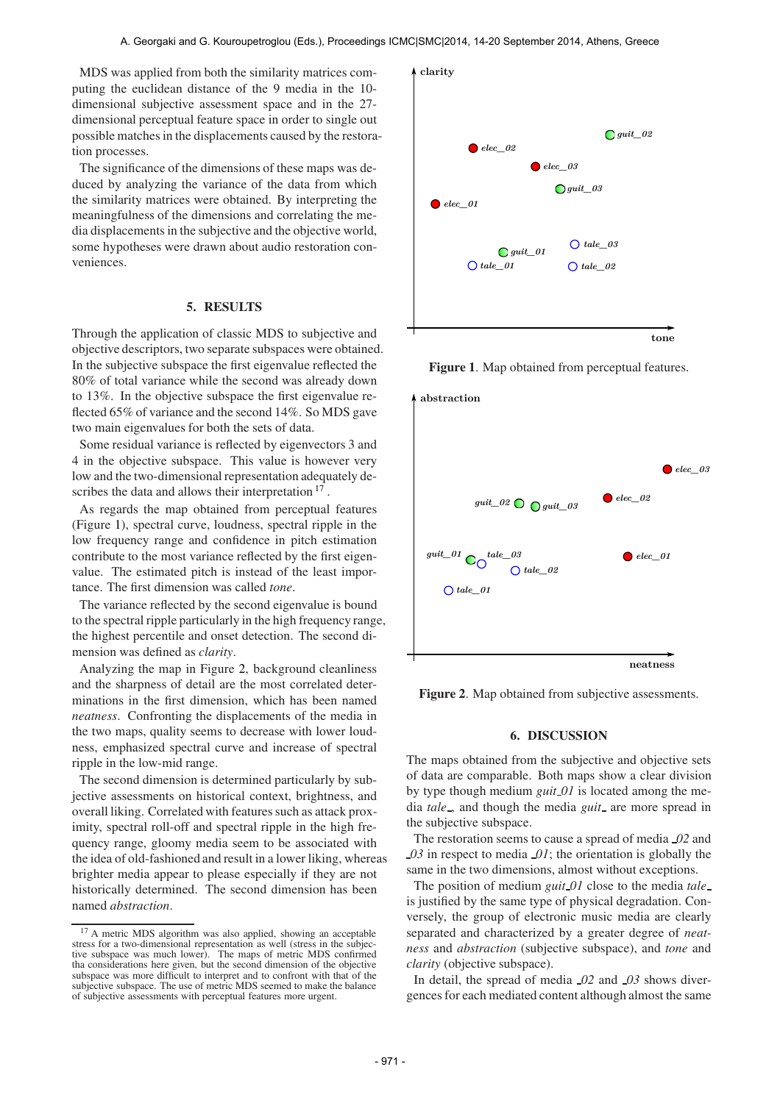MDS was applied from both the similarity matrices computing the euclidean distance of the 9 media in the 10 dimensional subjective assessment space and in the 27 dimensional perceptual feature space in order to single out possible matches in the displacements caused by the restoration processes.

The significance of the dimensions of these maps was deduced by analyzing the variance of the data from which the similarity matrices were obtained. By interpreting the meaningfulness of the dimensions and correlating the media displacements in the subjective and the objective world, some hypotheses were drawn about audio restoration conveniences.

### 5. RESULTS

Through the application of classic MDS to subjective and objective descriptors, two separate subspaces were obtained. In the subjective subspace the first eigenvalue reflected the 80% of total variance while the second was already down to 13%. In the objective subspace the first eigenvalue reflected 65% of variance and the second 14%. So MDS gave two main eigenvalues for both the sets of data.

Some residual variance is reflected by eigenvectors 3 and 4 in the objective subspace. This value is however very low and the two-dimensional representation adequately describes the data and allows their interpretation <sup>17</sup>.

As regards the map obtained from perceptual features (Figure 1), spectral curve, loudness, spectral ripple in the low frequency range and confidence in pitch estimation contribute to the most variance reflected by the first eigenvalue. The estimated pitch is instead of the least importance. The first dimension was called *tone*.

The variance reflected by the second eigenvalue is bound to the spectral ripple particularly in the high frequency range, the highest percentile and onset detection. The second dimension was defined as *clarity*.

Analyzing the map in Figure 2, background cleanliness and the sharpness of detail are the most correlated determinations in the first dimension, which has been named *neatness*. Confronting the displacements of the media in the two maps, quality seems to decrease with lower loudness, emphasized spectral curve and increase of spectral ripple in the low-mid range.

The second dimension is determined particularly by subjective assessments on historical context, brightness, and overall liking. Correlated with features such as attack proximity, spectral roll-off and spectral ripple in the high frequency range, gloomy media seem to be associated with the idea of old-fashioned and result in a lower liking, whereas brighter media appear to please especially if they are not historically determined. The second dimension has been named *abstraction*.



Figure 1. Map obtained from perceptual features.



Figure 2. Map obtained from subjective assessments.

# 6. DISCUSSION

The maps obtained from the subjective and objective sets of data are comparable. Both maps show a clear division by type though medium *guit 01* is located among the media *tale*, and though the media *guit* are more spread in the subjective subspace.

The restoration seems to cause a spread of media *02* and *03* in respect to media *01*; the orientation is globally the same in the two dimensions, almost without exceptions.

The position of medium *guit 01* close to the media *tale* is justified by the same type of physical degradation. Conversely, the group of electronic music media are clearly separated and characterized by a greater degree of *neatness* and *abstraction* (subjective subspace), and *tone* and *clarity* (objective subspace).

In detail, the spread of media *02* and *03* shows divergences for each mediated content although almost the same

<sup>17</sup> A metric MDS algorithm was also applied, showing an acceptable stress for a two-dimensional representation as well (stress in the subjec-tive subspace was much lower). The maps of metric MDS confirmed tha considerations here given, but the second dimension of the objective subspace was more difficult to interpret and to confront with that of the subjective subspace. The use of metric MDS seemed to make the balance of subjective assessments with perceptual features more urgent.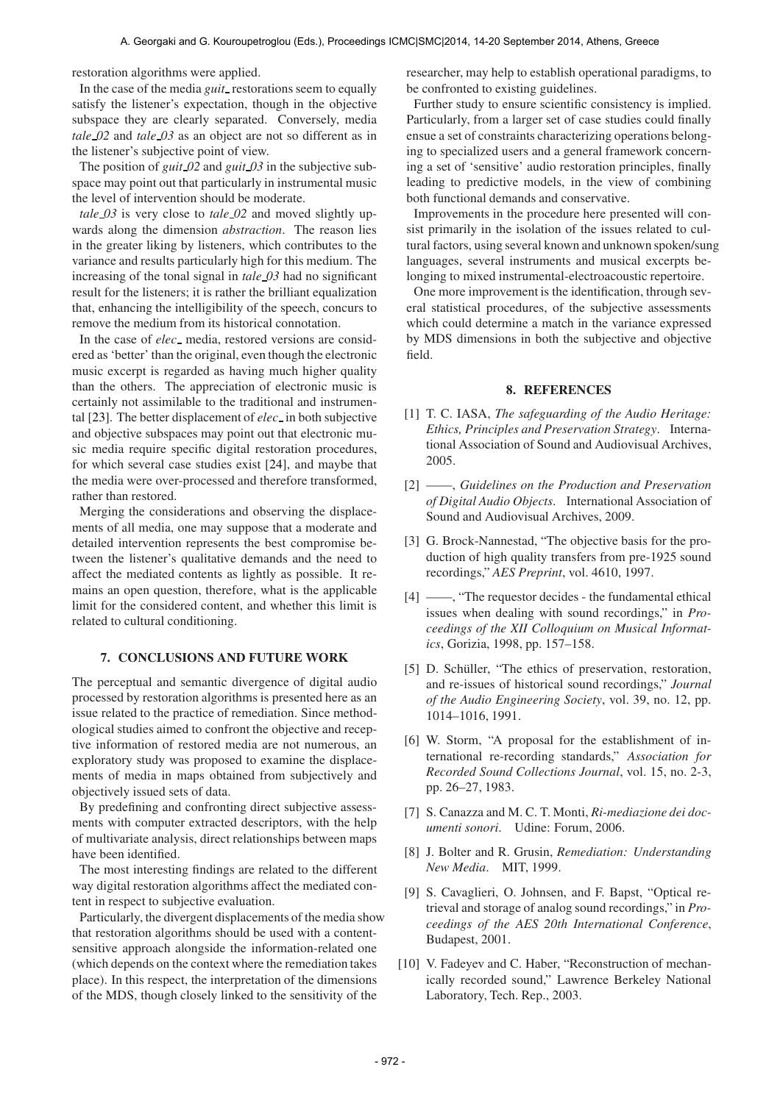restoration algorithms were applied.

In the case of the media *guit* restorations seem to equally satisfy the listener's expectation, though in the objective subspace they are clearly separated. Conversely, media *tale 02* and *tale 03* as an object are not so different as in the listener's subjective point of view.

The position of *guit 02* and *guit 03* in the subjective subspace may point out that particularly in instrumental music the level of intervention should be moderate.

*tale 03* is very close to *tale 02* and moved slightly upwards along the dimension *abstraction*. The reason lies in the greater liking by listeners, which contributes to the variance and results particularly high for this medium. The increasing of the tonal signal in *tale 03* had no significant result for the listeners; it is rather the brilliant equalization that, enhancing the intelligibility of the speech, concurs to remove the medium from its historical connotation.

In the case of *elec*<sub>-</sub> media, restored versions are considered as 'better' than the original, even though the electronic music excerpt is regarded as having much higher quality than the others. The appreciation of electronic music is certainly not assimilable to the traditional and instrumental [23]. The better displacement of *elec* in both subjective and objective subspaces may point out that electronic music media require specific digital restoration procedures, for which several case studies exist [24], and maybe that the media were over-processed and therefore transformed, rather than restored.

Merging the considerations and observing the displacements of all media, one may suppose that a moderate and detailed intervention represents the best compromise between the listener's qualitative demands and the need to affect the mediated contents as lightly as possible. It remains an open question, therefore, what is the applicable limit for the considered content, and whether this limit is related to cultural conditioning.

### 7. CONCLUSIONS AND FUTURE WORK

The perceptual and semantic divergence of digital audio processed by restoration algorithms is presented here as an issue related to the practice of remediation. Since methodological studies aimed to confront the objective and receptive information of restored media are not numerous, an exploratory study was proposed to examine the displacements of media in maps obtained from subjectively and objectively issued sets of data.

By predefining and confronting direct subjective assessments with computer extracted descriptors, with the help of multivariate analysis, direct relationships between maps have been identified.

The most interesting findings are related to the different way digital restoration algorithms affect the mediated content in respect to subjective evaluation.

Particularly, the divergent displacements of the media show that restoration algorithms should be used with a contentsensitive approach alongside the information-related one (which depends on the context where the remediation takes place). In this respect, the interpretation of the dimensions of the MDS, though closely linked to the sensitivity of the

researcher, may help to establish operational paradigms, to be confronted to existing guidelines.

Further study to ensure scientific consistency is implied. Particularly, from a larger set of case studies could finally ensue a set of constraints characterizing operations belonging to specialized users and a general framework concerning a set of 'sensitive' audio restoration principles, finally leading to predictive models, in the view of combining both functional demands and conservative.

Improvements in the procedure here presented will consist primarily in the isolation of the issues related to cultural factors, using several known and unknown spoken/sung languages, several instruments and musical excerpts belonging to mixed instrumental-electroacoustic repertoire.

One more improvement is the identification, through several statistical procedures, of the subjective assessments which could determine a match in the variance expressed by MDS dimensions in both the subjective and objective field.

### 8. REFERENCES

- [1] T. C. IASA, *The safeguarding of the Audio Heritage: Ethics, Principles and Preservation Strategy*. International Association of Sound and Audiovisual Archives, 2005.
- [2] ——, *Guidelines on the Production and Preservation of Digital Audio Objects*. International Association of Sound and Audiovisual Archives, 2009.
- [3] G. Brock-Nannestad, "The objective basis for the production of high quality transfers from pre-1925 sound recordings," *AES Preprint*, vol. 4610, 1997.
- [4] ——, "The requestor decides the fundamental ethical issues when dealing with sound recordings," in *Proceedings of the XII Colloquium on Musical Informatics*, Gorizia, 1998, pp. 157–158.
- [5] D. Schüller, "The ethics of preservation, restoration, and re-issues of historical sound recordings," *Journal of the Audio Engineering Society*, vol. 39, no. 12, pp. 1014–1016, 1991.
- [6] W. Storm, "A proposal for the establishment of international re-recording standards," *Association for Recorded Sound Collections Journal*, vol. 15, no. 2-3, pp. 26–27, 1983.
- [7] S. Canazza and M. C. T. Monti, *Ri-mediazione dei documenti sonori*. Udine: Forum, 2006.
- [8] J. Bolter and R. Grusin, *Remediation: Understanding New Media*. MIT, 1999.
- [9] S. Cavaglieri, O. Johnsen, and F. Bapst, "Optical retrieval and storage of analog sound recordings," in *Proceedings of the AES 20th International Conference*, Budapest, 2001.
- [10] V. Fadeyev and C. Haber, "Reconstruction of mechanically recorded sound," Lawrence Berkeley National Laboratory, Tech. Rep., 2003.